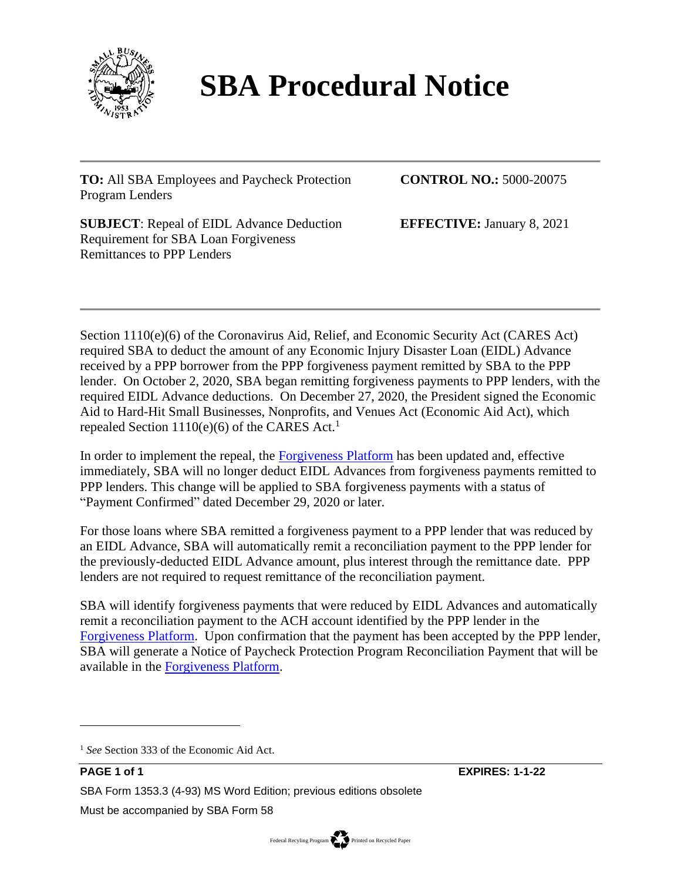

## **SBA Procedural Notice**

**TO:** All SBA Employees and Paycheck Protection Program Lenders

**CONTROL NO.:** 5000-20075

**SUBJECT**: Repeal of EIDL Advance Deduction Requirement for SBA Loan Forgiveness Remittances to PPP Lenders

**EFFECTIVE:** January 8, 2021

Section 1110(e)(6) of the Coronavirus Aid, Relief, and Economic Security Act (CARES Act) required SBA to deduct the amount of any Economic Injury Disaster Loan (EIDL) Advance received by a PPP borrower from the PPP forgiveness payment remitted by SBA to the PPP lender. On October 2, 2020, SBA began remitting forgiveness payments to PPP lenders, with the required EIDL Advance deductions. On December 27, 2020, the President signed the Economic Aid to Hard-Hit Small Businesses, Nonprofits, and Venues Act (Economic Aid Act), which repealed Section 1110(e)(6) of the CARES Act.<sup>1</sup>

In order to implement the repeal, the [Forgiveness Platform](https://forgiveness.sba.gov/accounts/login/?next=/) has been updated and, effective immediately, SBA will no longer deduct EIDL Advances from forgiveness payments remitted to PPP lenders. This change will be applied to SBA forgiveness payments with a status of "Payment Confirmed" dated December 29, 2020 or later.

For those loans where SBA remitted a forgiveness payment to a PPP lender that was reduced by an EIDL Advance, SBA will automatically remit a reconciliation payment to the PPP lender for the previously-deducted EIDL Advance amount, plus interest through the remittance date. PPP lenders are not required to request remittance of the reconciliation payment.

SBA will identify forgiveness payments that were reduced by EIDL Advances and automatically remit a reconciliation payment to the ACH account identified by the PPP lender in the [Forgiveness Platform.](https://forgiveness.sba.gov/accounts/login/?next=/) Upon confirmation that the payment has been accepted by the PPP lender, SBA will generate a Notice of Paycheck Protection Program Reconciliation Payment that will be available in the [Forgiveness Platform.](https://forgiveness.sba.gov/accounts/login/?next=/)

<sup>&</sup>lt;sup>1</sup> See Section 333 of the Economic Aid Act.